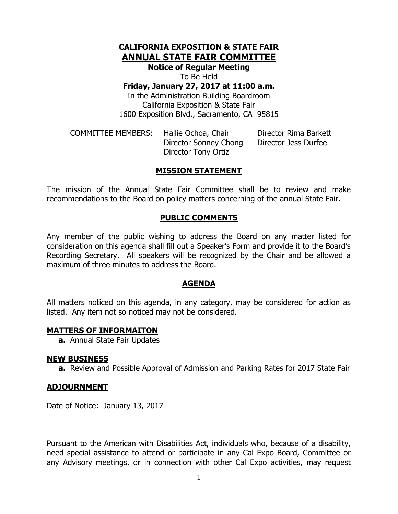# **CALIFORNIA EXPOSITION & STATE FAIR ANNUAL STATE FAIR COMMITTEE**

**Notice of Regular Meeting**

To Be Held

**Friday, January 27, 2017 at 11:00 a.m.**

In the Administration Building Boardroom California Exposition & State Fair 1600 Exposition Blvd., Sacramento, CA 95815

COMMITTEE MEMBERS: Hallie Ochoa, Chair Director Rima Barkett Director Sonney Chong Director Jess Durfee Director Tony Ortiz

## **MISSION STATEMENT**

The mission of the Annual State Fair Committee shall be to review and make recommendations to the Board on policy matters concerning of the annual State Fair.

### **PUBLIC COMMENTS**

Any member of the public wishing to address the Board on any matter listed for consideration on this agenda shall fill out a Speaker's Form and provide it to the Board's Recording Secretary. All speakers will be recognized by the Chair and be allowed a maximum of three minutes to address the Board.

#### **AGENDA**

All matters noticed on this agenda, in any category, may be considered for action as listed. Any item not so noticed may not be considered.

#### **MATTERS OF INFORMAITON**

**a.** Annual State Fair Updates

#### **NEW BUSINESS**

**a.** Review and Possible Approval of Admission and Parking Rates for 2017 State Fair

#### **ADJOURNMENT**

Date of Notice: January 13, 2017

Pursuant to the American with Disabilities Act, individuals who, because of a disability, need special assistance to attend or participate in any Cal Expo Board, Committee or any Advisory meetings, or in connection with other Cal Expo activities, may request